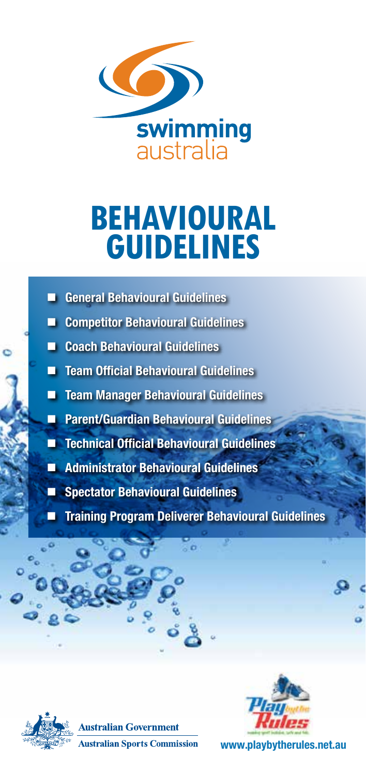

# **BEHAVIOURAL GUIDELINES**

- **E** General Behavioural Guidelines
- **E** Competitor Behavioural Guidelines
- **E** Coach Behavioural Guidelines
- **Team Official Behavioural Guidelines**
- **Team Manager Behavioural Guidelines**
- **Parent/Guardian Behavioural Guidelines**
- Technical Official Behavioural Guidelines
- **Administrator Behavioural Guidelines**
- Spectator Behavioural Guidelines
- Training Program Deliverer Behavioural Guidelines







www.playbytherules.net.au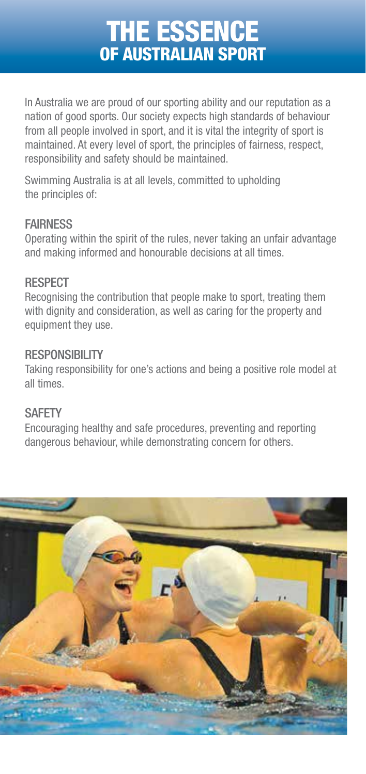### the essence of australian sport

In Australia we are proud of our sporting ability and our reputation as a nation of good sports. Our society expects high standards of behaviour from all people involved in sport, and it is vital the integrity of sport is maintained. At every level of sport, the principles of fairness, respect, responsibility and safety should be maintained.

Swimming Australia is at all levels, committed to upholding the principles of:

#### **FAIRNESS**

Operating within the spirit of the rules, never taking an unfair advantage and making informed and honourable decisions at all times.

#### **RESPECT**

Recognising the contribution that people make to sport, treating them with dignity and consideration, as well as caring for the property and equipment they use.

#### RESPONSIBILITY

Taking responsibility for one's actions and being a positive role model at all times.

#### **SAFETY**

Encouraging healthy and safe procedures, preventing and reporting dangerous behaviour, while demonstrating concern for others.

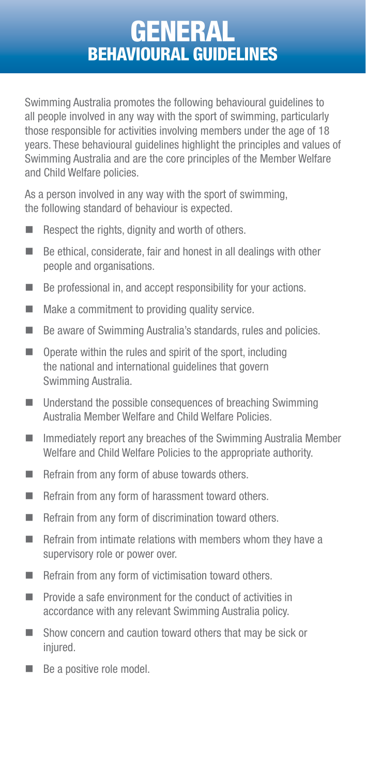#### **GENERAL** BEHAVIOURAL GUIDELINES

Swimming Australia promotes the following behavioural guidelines to all people involved in any way with the sport of swimming, particularly those responsible for activities involving members under the age of 18 years. These behavioural guidelines highlight the principles and values of Swimming Australia and are the core principles of the Member Welfare and Child Welfare policies.

As a person involved in any way with the sport of swimming. the following standard of behaviour is expected.

- $\blacksquare$  Respect the rights, dignity and worth of others.
- $\blacksquare$  Be ethical, considerate, fair and honest in all dealings with other people and organisations.
- Be professional in, and accept responsibility for your actions.
- $\blacksquare$  Make a commitment to providing quality service.
- Be aware of Swimming Australia's standards, rules and policies.
- $\Box$  Operate within the rules and spirit of the sport, including the national and international guidelines that govern Swimming Australia.
- Understand the possible consequences of breaching Swimming Australia Member Welfare and Child Welfare Policies.
- $\blacksquare$  Immediately report any breaches of the Swimming Australia Member Welfare and Child Welfare Policies to the appropriate authority.
- $\blacksquare$  Refrain from any form of abuse towards others.
- Refrain from any form of harassment toward others.
- $\blacksquare$  Refrain from any form of discrimination toward others.
- $\blacksquare$  Refrain from intimate relations with members whom they have a supervisory role or power over.
- Refrain from any form of victimisation toward others.
- **Provide a safe environment for the conduct of activities in** accordance with any relevant Swimming Australia policy.
- Show concern and caution toward others that may be sick or injured.
- Be a positive role model.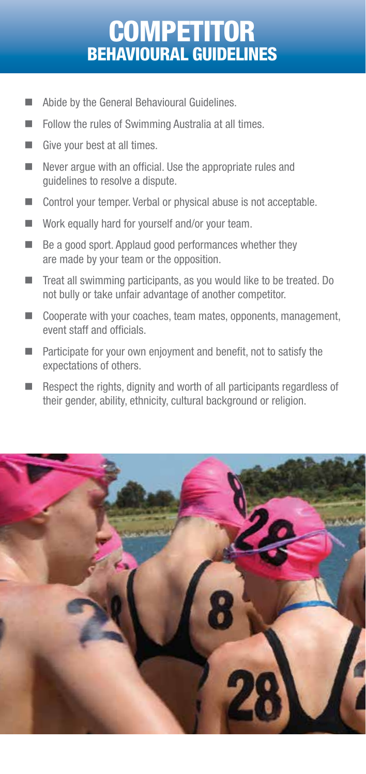### **COMP** BEHAVIOURAL GUIDE

- Abide by the General Behavioural Guidelines.
- Follow the rules of Swimming Australia at all times.
- Give your best at all times.
- $\blacksquare$  Never argue with an official. Use the appropriate rules and guidelines to resolve a dispute.
- Control your temper. Verbal or physical abuse is not acceptable.
- Work equally hard for yourself and/or your team.
- $\blacksquare$  Be a good sport. Applaud good performances whether they are made by your team or the opposition.
- Treat all swimming participants, as you would like to be treated. Do not bully or take unfair advantage of another competitor.
- Cooperate with your coaches, team mates, opponents, management, event staff and officials.
- $\blacksquare$  Participate for your own enjoyment and benefit, not to satisfy the expectations of others.
- $\blacksquare$  Respect the rights, dignity and worth of all participants regardless of their gender, ability, ethnicity, cultural background or religion.

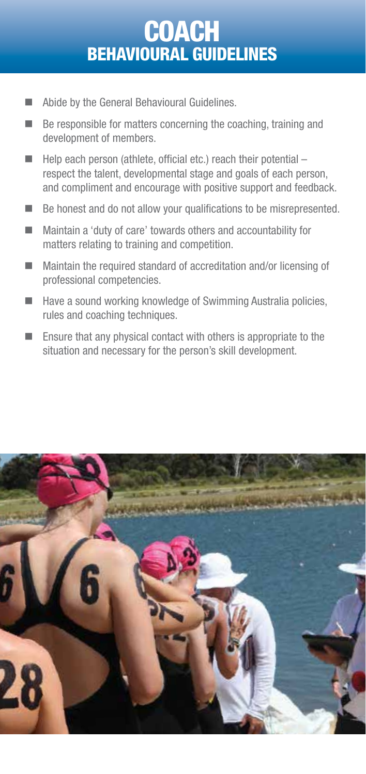### **COACH** BEHAVIOURAL GUIDELINES

- Abide by the General Behavioural Guidelines.
- $\blacksquare$  Be responsible for matters concerning the coaching, training and development of members.
- $\blacksquare$  Help each person (athlete, official etc.) reach their potential respect the talent, developmental stage and goals of each person, and compliment and encourage with positive support and feedback.
- $\blacksquare$  Be honest and do not allow your qualifications to be misrepresented.
- Maintain a 'duty of care' towards others and accountability for matters relating to training and competition.
- Maintain the required standard of accreditation and/or licensing of professional competencies.
- $\blacksquare$  Have a sound working knowledge of Swimming Australia policies, rules and coaching techniques.
- $\blacksquare$  Ensure that any physical contact with others is appropriate to the situation and necessary for the person's skill development.

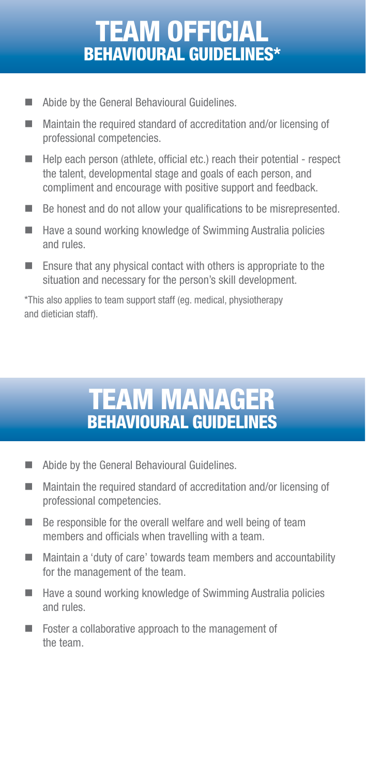# team official BEHAVIOURAL GUIDELINES\*

- **Abide by the General Behavioural Guidelines.**
- Maintain the required standard of accreditation and/or licensing of professional competencies.
- $\blacksquare$  Help each person (athlete, official etc.) reach their potential respect the talent, developmental stage and goals of each person, and compliment and encourage with positive support and feedback.
- $\blacksquare$  Be honest and do not allow your qualifications to be misrepresented.
- $\blacksquare$  Have a sound working knowledge of Swimming Australia policies and rules.
- $\blacksquare$  Ensure that any physical contact with others is appropriate to the situation and necessary for the person's skill development.

\*This also applies to team support staff (eg. medical, physiotherapy and dietician staff).

### **TEAM MA** BEHAVIOURAL GUIDEI

- Abide by the General Behavioural Guidelines.
- Maintain the required standard of accreditation and/or licensing of professional competencies.
- $\blacksquare$  Be responsible for the overall welfare and well being of team members and officials when travelling with a team.
- Maintain a 'duty of care' towards team members and accountability for the management of the team.
- $\blacksquare$  Have a sound working knowledge of Swimming Australia policies and rules.
- Foster a collaborative approach to the management of the team.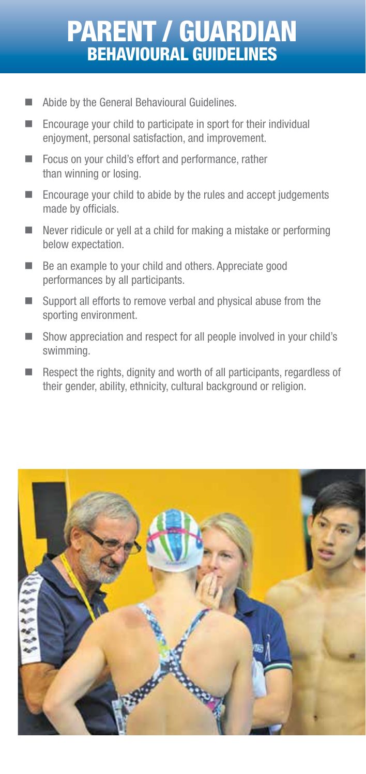# parent / guardian BEHAVIOURAL GUIDE

- Abide by the General Behavioural Guidelines.
- Encourage your child to participate in sport for their individual enjoyment, personal satisfaction, and improvement.
- Focus on your child's effort and performance, rather than winning or losing.
- Encourage your child to abide by the rules and accept judgements made by officials.
- Never ridicule or yell at a child for making a mistake or performing below expectation.
- Be an example to your child and others. Appreciate good performances by all participants.
- Support all efforts to remove verbal and physical abuse from the sporting environment.
- Show appreciation and respect for all people involved in your child's swimming.
- Respect the rights, dignity and worth of all participants, regardless of their gender, ability, ethnicity, cultural background or religion.

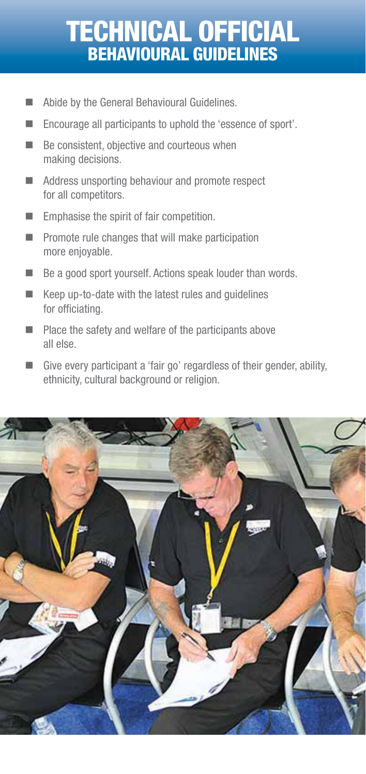# technical official BEHAVIOURAL GUIDE

- Abide by the General Behavioural Guidelines.
- Encourage all participants to uphold the 'essence of sport'.
- $\blacksquare$  Be consistent, objective and courteous when making decisions.
- Address unsporting behaviour and promote respect for all competitors.
- **Emphasise the spirit of fair competition.**
- $\blacksquare$  Promote rule changes that will make participation more enjoyable.
- Be a good sport yourself. Actions speak louder than words.
- $\blacksquare$  Keep up-to-date with the latest rules and quidelines for officiating.
- $\blacksquare$  Place the safety and welfare of the participants above all else.
- Give every participant a 'fair go' regardless of their gender, ability, ethnicity, cultural background or religion.

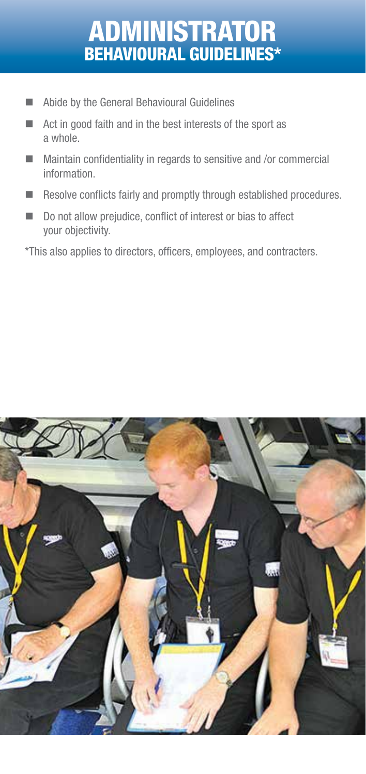# administrator BEHAVIOURAL GUIDELINES\*

- **Abide by the General Behavioural Guidelines**
- Act in good faith and in the best interests of the sport as a whole.
- Maintain confidentiality in regards to sensitive and /or commercial information.
- Resolve conflicts fairly and promptly through established procedures.
- Do not allow prejudice, conflict of interest or bias to affect your objectivity.

\*This also applies to directors, officers, employees, and contracters.

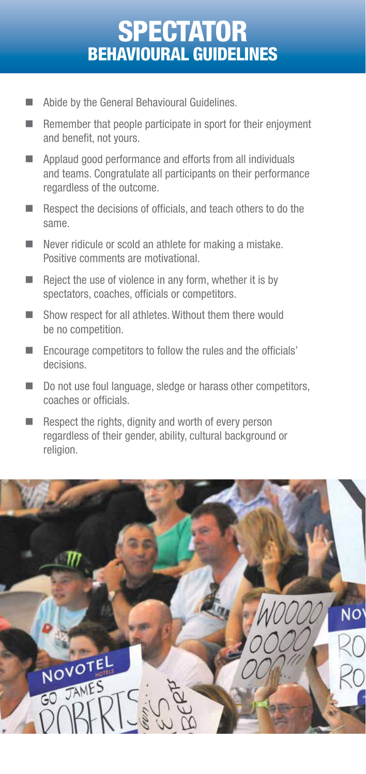### $S$ BEHAVIOURAL GUIDE

- Abide by the General Behavioural Guidelines.
- $\blacksquare$  Remember that people participate in sport for their enjoyment and benefit, not yours.
- **Applaud good performance and efforts from all individuals** and teams. Congratulate all participants on their performance regardless of the outcome.
- Respect the decisions of officials, and teach others to do the same.
- Never ridicule or scold an athlete for making a mistake. Positive comments are motivational.
- $\blacksquare$  Reject the use of violence in any form, whether it is by spectators, coaches, officials or competitors.
- Show respect for all athletes. Without them there would be no competition.
- Encourage competitors to follow the rules and the officials' decisions.
- $\Box$  Do not use foul language, sledge or harass other competitors, coaches or officials.
- $\blacksquare$  Respect the rights, dignity and worth of every person regardless of their gender, ability, cultural background or religion.

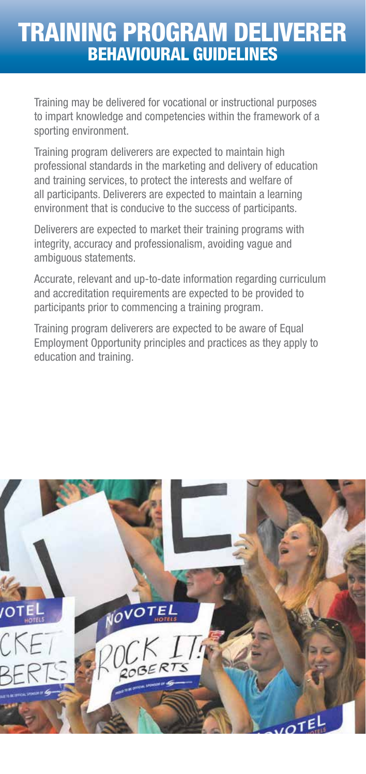#### TRAINING PROGRAM DELIVERER BEHAVIOURAL GUIDELINES

Training may be delivered for vocational or instructional purposes to impart knowledge and competencies within the framework of a sporting environment.

Training program deliverers are expected to maintain high professional standards in the marketing and delivery of education and training services, to protect the interests and welfare of all participants. Deliverers are expected to maintain a learning environment that is conducive to the success of participants.

Deliverers are expected to market their training programs with integrity, accuracy and professionalism, avoiding vague and ambiguous statements.

Accurate, relevant and up-to-date information regarding curriculum and accreditation requirements are expected to be provided to participants prior to commencing a training program.

Training program deliverers are expected to be aware of Equal Employment Opportunity principles and practices as they apply to education and training.